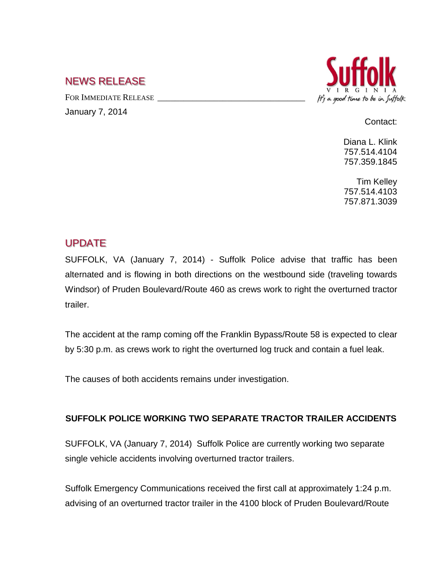## NEWS RELEASE

FOR IMMEDIATE RELEASE

January 7, 2014



Contact:

Diana L. Klink 757.514.4104 757.359.1845

Tim Kelley 757.514.4103 757.871.3039

## UPDATE

SUFFOLK, VA (January 7, 2014) - Suffolk Police advise that traffic has been alternated and is flowing in both directions on the westbound side (traveling towards Windsor) of Pruden Boulevard/Route 460 as crews work to right the overturned tractor trailer.

The accident at the ramp coming off the Franklin Bypass/Route 58 is expected to clear by 5:30 p.m. as crews work to right the overturned log truck and contain a fuel leak.

The causes of both accidents remains under investigation.

## **SUFFOLK POLICE WORKING TWO SEPARATE TRACTOR TRAILER ACCIDENTS**

SUFFOLK, VA (January 7, 2014) Suffolk Police are currently working two separate single vehicle accidents involving overturned tractor trailers.

Suffolk Emergency Communications received the first call at approximately 1:24 p.m. advising of an overturned tractor trailer in the 4100 block of Pruden Boulevard/Route